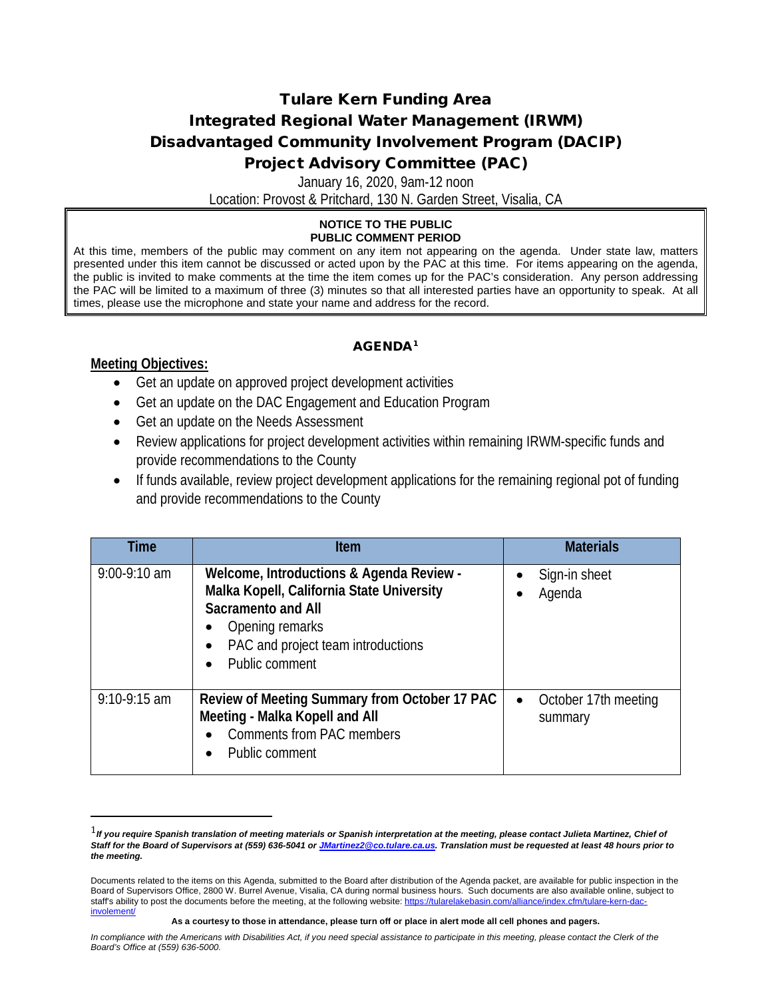### Tulare Kern Funding Area Integrated Regional Water Management (IRWM) Disadvantaged Community Involvement Program (DACIP) Project Advisory Committee (PAC)

January 16, 2020, 9am-12 noon

Location: Provost & Pritchard, 130 N. Garden Street, Visalia, CA

#### **NOTICE TO THE PUBLIC PUBLIC COMMENT PERIOD**

At this time, members of the public may comment on any item not appearing on the agenda. Under state law, matters presented under this item cannot be discussed or acted upon by the PAC at this time. For items appearing on the agenda, the public is invited to make comments at the time the item comes up for the PAC's consideration. Any person addressing the PAC will be limited to a maximum of three (3) minutes so that all interested parties have an opportunity to speak. At all times, please use the microphone and state your name and address for the record.

### AGENDA[1](#page-0-0)

### **Meeting Objectives:**

- Get an update on approved project development activities
- Get an update on the DAC Engagement and Education Program
- Get an update on the Needs Assessment
- Review applications for project development activities within remaining IRWM-specific funds and provide recommendations to the County
- If funds available, review project development applications for the remaining regional pot of funding and provide recommendations to the County

| Time           | <b>Item</b>                                                                                                                                                                                   | <b>Materials</b>                             |
|----------------|-----------------------------------------------------------------------------------------------------------------------------------------------------------------------------------------------|----------------------------------------------|
| $9:00-9:10$ am | Welcome, Introductions & Agenda Review -<br>Malka Kopell, California State University<br><b>Sacramento and All</b><br>Opening remarks<br>PAC and project team introductions<br>Public comment | Sign-in sheet<br>$\bullet$<br>Agenda         |
| $9:10-9:15$ am | Review of Meeting Summary from October 17 PAC<br>Meeting - Malka Kopell and All<br><b>Comments from PAC members</b><br>Public comment                                                         | October 17th meeting<br>$\bullet$<br>summary |

<span id="page-0-0"></span> <sup>1</sup>*If you require Spanish translation of meeting materials or Spanish interpretation at the meeting, please contact Julieta Martinez, Chief of Staff for the Board of Supervisors at (559) 636-5041 o[r JMartinez2@co.tulare.ca.us.](mailto:JMartinez2@co.tulare.ca.us) Translation must be requested at least 48 hours prior to the meeting.* 

Documents related to the items on this Agenda, submitted to the Board after distribution of the Agenda packet, are available for public inspection in the Board of Supervisors Office, 2800 W. Burrel Avenue, Visalia, CA during normal business hours. Such documents are also available online, subject to staff's ability to post the documents before the meeting, at the following website: https://tularelakebasin.com/alliance/index.cfm/tulare-kern-da [involement/](https://tularelakebasin.com/alliance/index.cfm/tulare-kern-dac-involement/)

**As a courtesy to those in attendance, please turn off or place in alert mode all cell phones and pagers.**

In compliance with the Americans with Disabilities Act, if you need special assistance to participate in this meeting, please contact the Clerk of the *Board's Office at (559) 636-5000.*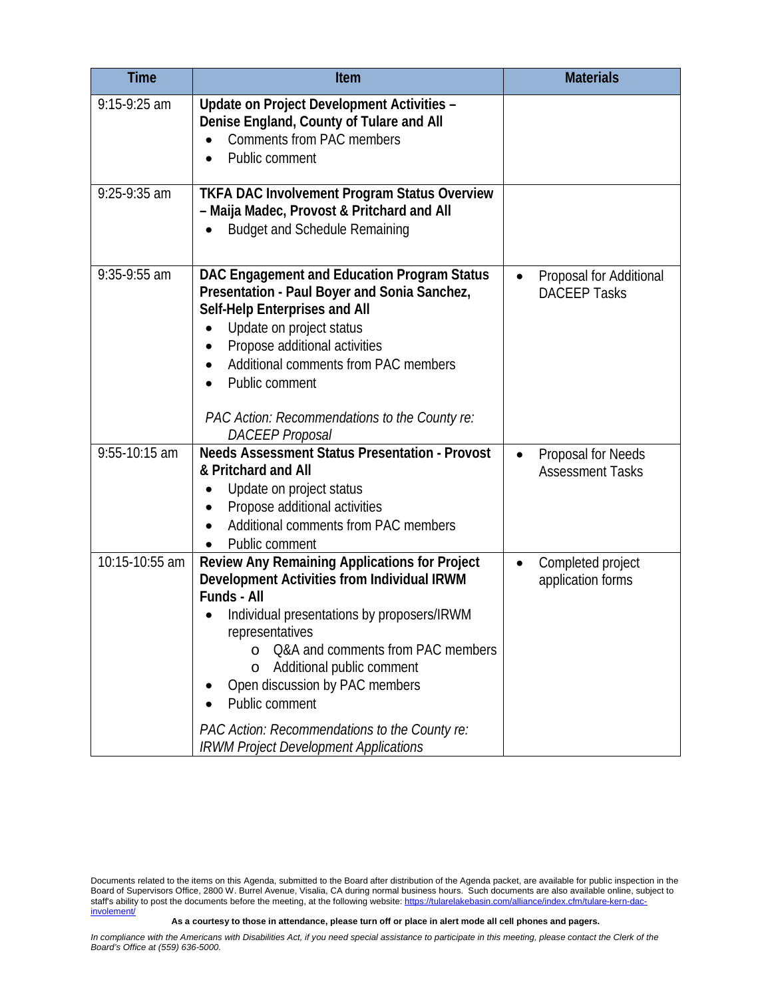| <b>Time</b>    | Item                                                                                                                                                                                                                                                                                                                                                                                                                              | <b>Materials</b>                                           |
|----------------|-----------------------------------------------------------------------------------------------------------------------------------------------------------------------------------------------------------------------------------------------------------------------------------------------------------------------------------------------------------------------------------------------------------------------------------|------------------------------------------------------------|
| 9:15-9:25 am   | Update on Project Development Activities -<br>Denise England, County of Tulare and All<br><b>Comments from PAC members</b><br>Public comment                                                                                                                                                                                                                                                                                      |                                                            |
| $9:25-9:35$ am | <b>TKFA DAC Involvement Program Status Overview</b><br>- Maija Madec, Provost & Pritchard and All<br><b>Budget and Schedule Remaining</b>                                                                                                                                                                                                                                                                                         |                                                            |
| $9:35-9:55$ am | DAC Engagement and Education Program Status<br>Presentation - Paul Boyer and Sonia Sanchez,<br>Self-Help Enterprises and All<br>Update on project status<br>Propose additional activities<br>Additional comments from PAC members<br>Public comment<br>PAC Action: Recommendations to the County re:<br><b>DACEEP</b> Proposal                                                                                                    | Proposal for Additional<br><b>DACEEP Tasks</b>             |
| 9:55-10:15 am  | <b>Needs Assessment Status Presentation - Provost</b><br>& Pritchard and All<br>Update on project status<br>Propose additional activities<br>Additional comments from PAC members<br>Public comment                                                                                                                                                                                                                               | Proposal for Needs<br>$\bullet$<br><b>Assessment Tasks</b> |
| 10:15-10:55 am | Review Any Remaining Applications for Project<br>Development Activities from Individual IRWM<br><b>Funds - All</b><br>Individual presentations by proposers/IRWM<br>representatives<br>Q&A and comments from PAC members<br>$\Omega$<br>Additional public comment<br>$\circ$<br>Open discussion by PAC members<br>Public comment<br>PAC Action: Recommendations to the County re:<br><b>IRWM Project Development Applications</b> | Completed project<br>application forms                     |

**As a courtesy to those in attendance, please turn off or place in alert mode all cell phones and pagers.**

Documents related to the items on this Agenda, submitted to the Board after distribution of the Agenda packet, are available for public inspection in the Board of Supervisors Office, 2800 W. Burrel Avenue, Visalia, CA during normal business hours. Such documents are also available online, subject to staff's ability to post the documents before the meeting, at the following website[: https://tularelakebasin.com/alliance/index.cfm/tulare-kern-dac](https://tularelakebasin.com/alliance/index.cfm/tulare-kern-dac-involement/)[involement/](https://tularelakebasin.com/alliance/index.cfm/tulare-kern-dac-involement/)

In compliance with the Americans with Disabilities Act, if you need special assistance to participate in this meeting, please contact the Clerk of the *Board's Office at (559) 636-5000.*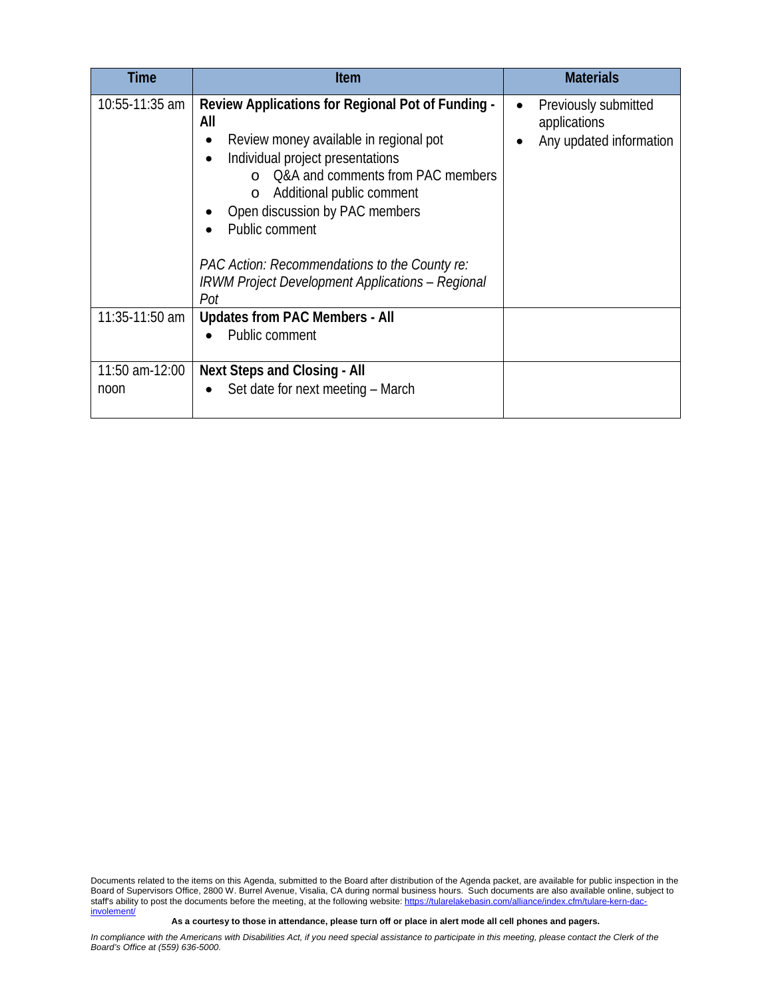| Time                   | <b>Item</b>                                                                                                                                                                                                                                                                                                                                                                                | <b>Materials</b>                                                             |
|------------------------|--------------------------------------------------------------------------------------------------------------------------------------------------------------------------------------------------------------------------------------------------------------------------------------------------------------------------------------------------------------------------------------------|------------------------------------------------------------------------------|
| 10:55-11:35 am         | Review Applications for Regional Pot of Funding -<br>All<br>Review money available in regional pot<br>Individual project presentations<br>Q&A and comments from PAC members<br>Additional public comment<br>$\circ$<br>Open discussion by PAC members<br>Public comment<br>PAC Action: Recommendations to the County re:<br><b>IRWM Project Development Applications - Regional</b><br>Pot | Previously submitted<br>$\bullet$<br>applications<br>Any updated information |
| $11:35 - 11:50$ am     | <b>Updates from PAC Members - All</b><br>Public comment                                                                                                                                                                                                                                                                                                                                    |                                                                              |
| 11:50 am-12:00<br>noon | <b>Next Steps and Closing - All</b><br>Set date for next meeting - March                                                                                                                                                                                                                                                                                                                   |                                                                              |

Documents related to the items on this Agenda, submitted to the Board after distribution of the Agenda packet, are available for public inspection in the Board of Supervisors Office, 2800 W. Burrel Avenue, Visalia, CA during normal business hours. Such documents are also available online, subject to staff's ability to post the documents before the meeting, at the following website[: https://tularelakebasin.com/alliance/index.cfm/tulare-kern-dac](https://tularelakebasin.com/alliance/index.cfm/tulare-kern-dac-involement/)[involement/](https://tularelakebasin.com/alliance/index.cfm/tulare-kern-dac-involement/)

**As a courtesy to those in attendance, please turn off or place in alert mode all cell phones and pagers.**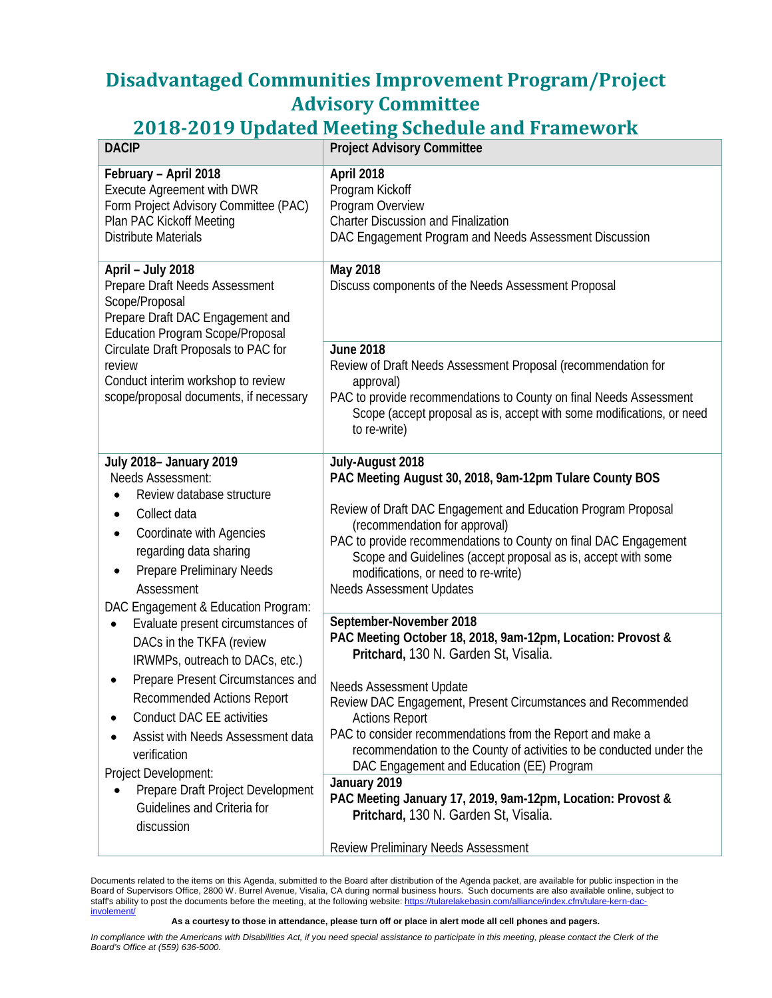# **Disadvantaged Communities Improvement Program/Project Advisory Committee**

# **2018-2019 Updated Meeting Schedule and Framework**

| <b>DACIP</b>                                                                                                                                                                                                                                                           | <b>Project Advisory Committee</b>                                                                                                                                                                                                                                                                                                                                                            |
|------------------------------------------------------------------------------------------------------------------------------------------------------------------------------------------------------------------------------------------------------------------------|----------------------------------------------------------------------------------------------------------------------------------------------------------------------------------------------------------------------------------------------------------------------------------------------------------------------------------------------------------------------------------------------|
| February - April 2018<br>Execute Agreement with DWR<br>Form Project Advisory Committee (PAC)<br>Plan PAC Kickoff Meeting<br><b>Distribute Materials</b>                                                                                                                | April 2018<br>Program Kickoff<br>Program Overview<br><b>Charter Discussion and Finalization</b><br>DAC Engagement Program and Needs Assessment Discussion                                                                                                                                                                                                                                    |
| April - July 2018<br>Prepare Draft Needs Assessment<br>Scope/Proposal<br>Prepare Draft DAC Engagement and<br><b>Education Program Scope/Proposal</b>                                                                                                                   | May 2018<br>Discuss components of the Needs Assessment Proposal                                                                                                                                                                                                                                                                                                                              |
| Circulate Draft Proposals to PAC for<br>review<br>Conduct interim workshop to review<br>scope/proposal documents, if necessary                                                                                                                                         | <b>June 2018</b><br>Review of Draft Needs Assessment Proposal (recommendation for<br>approval)<br>PAC to provide recommendations to County on final Needs Assessment<br>Scope (accept proposal as is, accept with some modifications, or need<br>to re-write)                                                                                                                                |
| <b>July 2018- January 2019</b><br>Needs Assessment:<br>Review database structure<br>Collect data<br>$\bullet$<br>Coordinate with Agencies<br>٠<br>regarding data sharing<br><b>Prepare Preliminary Needs</b><br>٠<br>Assessment<br>DAC Engagement & Education Program: | July-August 2018<br>PAC Meeting August 30, 2018, 9am-12pm Tulare County BOS<br>Review of Draft DAC Engagement and Education Program Proposal<br>(recommendation for approval)<br>PAC to provide recommendations to County on final DAC Engagement<br>Scope and Guidelines (accept proposal as is, accept with some<br>modifications, or need to re-write)<br><b>Needs Assessment Updates</b> |
| Evaluate present circumstances of<br>٠<br>DACs in the TKFA (review<br>IRWMPs, outreach to DACs, etc.)                                                                                                                                                                  | September-November 2018<br>PAC Meeting October 18, 2018, 9am-12pm, Location: Provost &<br>Pritchard, 130 N. Garden St, Visalia.                                                                                                                                                                                                                                                              |
| Prepare Present Circumstances and<br><b>Recommended Actions Report</b><br>Conduct DAC EE activities<br>Assist with Needs Assessment data<br>verification<br>Project Development:                                                                                       | Needs Assessment Update<br>Review DAC Engagement, Present Circumstances and Recommended<br><b>Actions Report</b><br>PAC to consider recommendations from the Report and make a<br>recommendation to the County of activities to be conducted under the<br>DAC Engagement and Education (EE) Program                                                                                          |
| Prepare Draft Project Development<br>Guidelines and Criteria for<br>discussion                                                                                                                                                                                         | January 2019<br>PAC Meeting January 17, 2019, 9am-12pm, Location: Provost &<br>Pritchard, 130 N. Garden St, Visalia.<br><b>Review Preliminary Needs Assessment</b>                                                                                                                                                                                                                           |

Documents related to the items on this Agenda, submitted to the Board after distribution of the Agenda packet, are available for public inspection in the Board of Supervisors Office, 2800 W. Burrel Avenue, Visalia, CA during normal business hours. Such documents are also available online, subject to staff's ability to post the documents before the meeting, at the following website[: https://tularelakebasin.com/alliance/index.cfm/tulare-kern-dac](https://tularelakebasin.com/alliance/index.cfm/tulare-kern-dac-involement/)[involement/](https://tularelakebasin.com/alliance/index.cfm/tulare-kern-dac-involement/)

**As a courtesy to those in attendance, please turn off or place in alert mode all cell phones and pagers.**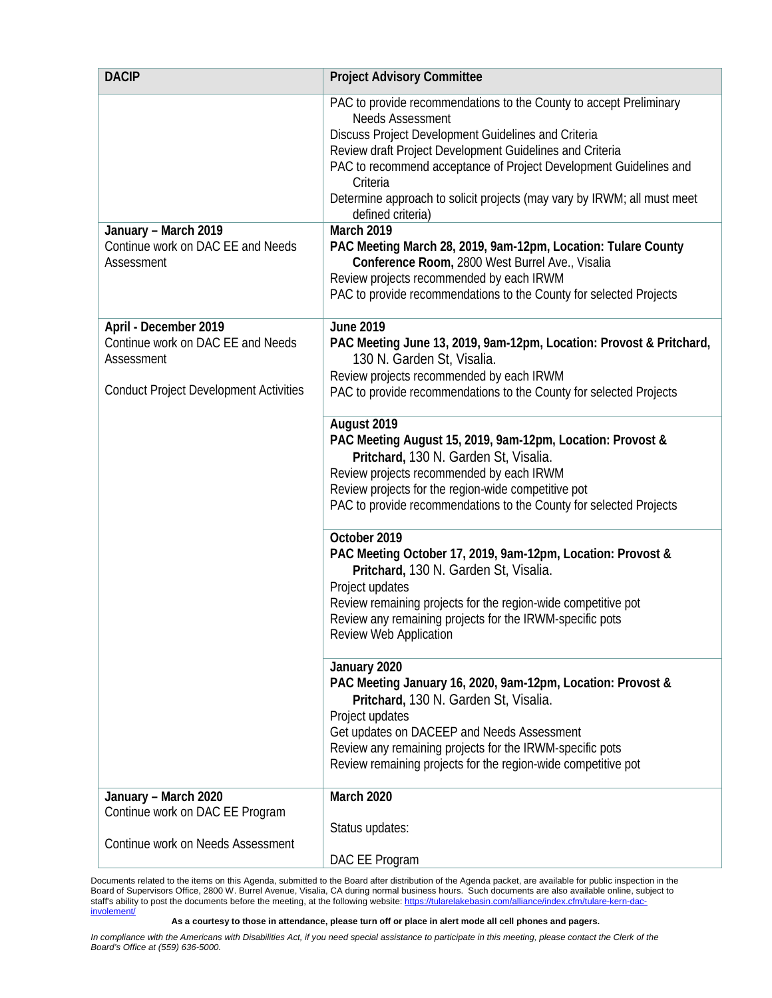| <b>DACIP</b>                                                             | <b>Project Advisory Committee</b>                                                                                                                                                                                                                                                                                                                                                                 |
|--------------------------------------------------------------------------|---------------------------------------------------------------------------------------------------------------------------------------------------------------------------------------------------------------------------------------------------------------------------------------------------------------------------------------------------------------------------------------------------|
|                                                                          | PAC to provide recommendations to the County to accept Preliminary<br><b>Needs Assessment</b><br>Discuss Project Development Guidelines and Criteria<br>Review draft Project Development Guidelines and Criteria<br>PAC to recommend acceptance of Project Development Guidelines and<br>Criteria<br>Determine approach to solicit projects (may vary by IRWM; all must meet<br>defined criteria) |
| January - March 2019<br>Continue work on DAC EE and Needs<br>Assessment  | March 2019<br>PAC Meeting March 28, 2019, 9am-12pm, Location: Tulare County<br>Conference Room, 2800 West Burrel Ave., Visalia<br>Review projects recommended by each IRWM<br>PAC to provide recommendations to the County for selected Projects                                                                                                                                                  |
| April - December 2019<br>Continue work on DAC EE and Needs<br>Assessment | <b>June 2019</b><br>PAC Meeting June 13, 2019, 9am-12pm, Location: Provost & Pritchard,<br>130 N. Garden St, Visalia.                                                                                                                                                                                                                                                                             |
| <b>Conduct Project Development Activities</b>                            | Review projects recommended by each IRWM<br>PAC to provide recommendations to the County for selected Projects                                                                                                                                                                                                                                                                                    |
|                                                                          | August 2019<br>PAC Meeting August 15, 2019, 9am-12pm, Location: Provost &<br>Pritchard, 130 N. Garden St, Visalia.<br>Review projects recommended by each IRWM<br>Review projects for the region-wide competitive pot<br>PAC to provide recommendations to the County for selected Projects                                                                                                       |
|                                                                          | October 2019<br>PAC Meeting October 17, 2019, 9am-12pm, Location: Provost &<br>Pritchard, 130 N. Garden St, Visalia.<br>Project updates<br>Review remaining projects for the region-wide competitive pot<br>Review any remaining projects for the IRWM-specific pots<br><b>Review Web Application</b>                                                                                             |
|                                                                          | January 2020<br>PAC Meeting January 16, 2020, 9am-12pm, Location: Provost &<br>Pritchard, 130 N. Garden St, Visalia.<br>Project updates<br>Get updates on DACEEP and Needs Assessment<br>Review any remaining projects for the IRWM-specific pots<br>Review remaining projects for the region-wide competitive pot                                                                                |
| January - March 2020<br>Continue work on DAC EE Program                  | March 2020                                                                                                                                                                                                                                                                                                                                                                                        |
| Continue work on Needs Assessment                                        | Status updates:<br>DAC EE Program                                                                                                                                                                                                                                                                                                                                                                 |

Documents related to the items on this Agenda, submitted to the Board after distribution of the Agenda packet, are available for public inspection in the Board of Supervisors Office, 2800 W. Burrel Avenue, Visalia, CA during normal business hours. Such documents are also available online, subject to staff's ability to post the documents before the meeting, at the following website[: https://tularelakebasin.com/alliance/index.cfm/tulare-kern-dac](https://tularelakebasin.com/alliance/index.cfm/tulare-kern-dac-involement/)[involement/](https://tularelakebasin.com/alliance/index.cfm/tulare-kern-dac-involement/)

**As a courtesy to those in attendance, please turn off or place in alert mode all cell phones and pagers.**